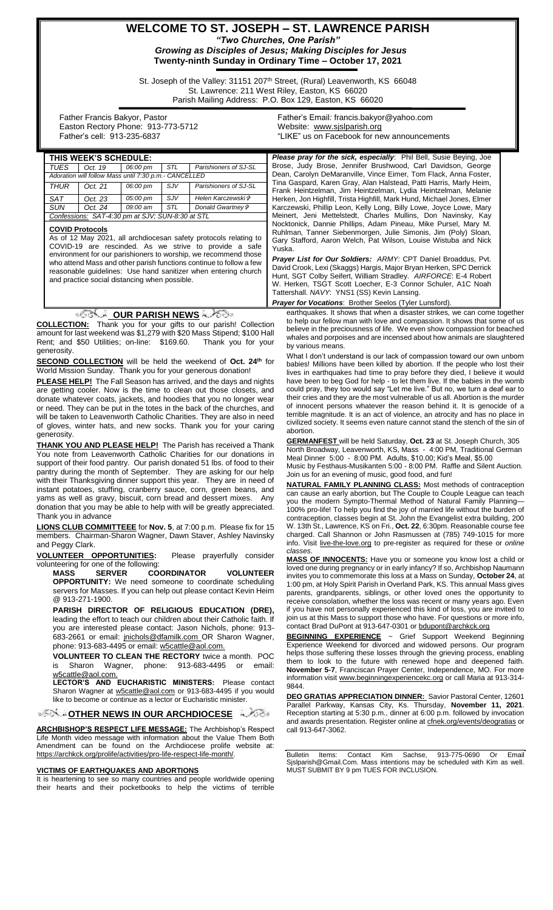# **WELCOME TO ST. JOSEPH – ST. LAWRENCE PARISH** *"Two Churches, One Parish"*

*Growing as Disciples of Jesus; Making Disciples for Jesus* **Twenty-ninth Sunday in Ordinary Time – October 17, 2021**

St. Joseph of the Valley: 31151 207<sup>th</sup> Street, (Rural) Leavenworth, KS 66048 St. Lawrence: 211 West Riley, Easton, KS 66020 Parish Mailing Address: P.O. Box 129, Easton, KS 66020

 Father Francis Bakyor, Pastor Easton Rectory Phone: 913-773-5712 Father's cell: 913-235-6837

Father's Email*:* francis.bakyor@yahoo.com Website: [www.sjslparish.org](http://www.sjslparish.org/) "LIKE" us on Facebook for new announcements

| $1$ atticles coll. $313-233-003$                                                                                                                                                                                              |                                                                           |          |     |                                                                       |                                                                             | <u>IL USUITECCCOUNTULICW ANNUCHICHIS</u>                                                                                                                       |  |
|-------------------------------------------------------------------------------------------------------------------------------------------------------------------------------------------------------------------------------|---------------------------------------------------------------------------|----------|-----|-----------------------------------------------------------------------|-----------------------------------------------------------------------------|----------------------------------------------------------------------------------------------------------------------------------------------------------------|--|
| THIS WEEK'S SCHEDULE:                                                                                                                                                                                                         |                                                                           |          |     |                                                                       |                                                                             | <b>Please pray for the sick, especially:</b> Phil Bell, Susie Beying, Joe                                                                                      |  |
| <b>TUES</b><br>06:00 pm<br>STL<br>Parishioners of SJ-SL<br>Oct. 19                                                                                                                                                            |                                                                           |          |     |                                                                       | Brose, Judy Brose, Jennifer Brushwood, Carl Davidson, George                |                                                                                                                                                                |  |
| Adoration will follow Mass until 7:30 p.m.- CANCELLED                                                                                                                                                                         |                                                                           |          |     |                                                                       | Dean, Carolyn DeMaranville, Vince Eimer, Tom Flack, Anna Foster,            |                                                                                                                                                                |  |
| <b>THUR</b>                                                                                                                                                                                                                   | Oct. 21                                                                   | 06:00 pm | SJV | Parishioners of SJ-SL                                                 |                                                                             | Tina Gaspard, Karen Gray, Alan Halstead, Patti Harris, Marly Heim,<br>Frank Heintzelman, Jim Heintzelman, Lydia Heintzelman, Melanie                           |  |
| SAT                                                                                                                                                                                                                           | Oct. 23                                                                   | 05:00 pm | SJV | Helen Karczewski*                                                     |                                                                             | Herken, Jon Highfill, Trista Highfill, Mark Hund, Michael Jones, Elmer                                                                                         |  |
| <b>SUN</b>                                                                                                                                                                                                                    | Oct. 24                                                                   | 09:00 am | STL | Donald Gwartney &                                                     |                                                                             | Karczewski, Phillip Leon, Kelly Long, Billy Lowe, Joyce Lowe, Mary                                                                                             |  |
| Confessions: SAT-4:30 pm at SJV; SUN-8:30 at STL                                                                                                                                                                              |                                                                           |          |     |                                                                       |                                                                             | Meinert, Jeni Mettelstedt, Charles Mullins, Don Navinsky, Kay                                                                                                  |  |
| <b>COVID Protocols</b>                                                                                                                                                                                                        |                                                                           |          |     |                                                                       |                                                                             | Nocktonick, Dannie Phillips, Adam Pineau, Mike Pursel, Mary M.<br>Ruhlman, Tanner Siebenmorgen, Julie Simonis, Jim (Poly) Sloan,                               |  |
| As of 12 May 2021, all archdiocesan safety protocols relating to                                                                                                                                                              |                                                                           |          |     |                                                                       |                                                                             | Gary Stafford, Aaron Welch, Pat Wilson, Louise Wistuba and Nick                                                                                                |  |
|                                                                                                                                                                                                                               | COVID-19 are rescinded. As we strive to provide a safe                    |          |     |                                                                       |                                                                             | Yuska.                                                                                                                                                         |  |
| environment for our parishioners to worship, we recommend those<br>who attend Mass and other parish functions continue to follow a few                                                                                        |                                                                           |          |     |                                                                       |                                                                             | Prayer List for Our Soldiers: ARMY: CPT Daniel Broaddus, Pvt.                                                                                                  |  |
|                                                                                                                                                                                                                               | reasonable guidelines: Use hand sanitizer when entering church            |          |     |                                                                       |                                                                             | David Crook, Lexi (Skaggs) Hargis, Major Bryan Herken, SPC Derrick                                                                                             |  |
| and practice social distancing when possible.                                                                                                                                                                                 |                                                                           |          |     |                                                                       |                                                                             | Hunt, SGT Colby Seifert, William Stradley. AIRFORCE: E-4 Robert<br>W. Herken, TSGT Scott Loecher, E-3 Connor Schuler, A1C Noah                                 |  |
|                                                                                                                                                                                                                               |                                                                           |          |     |                                                                       |                                                                             | Tattershall. NAVY: YNS1 (SS) Kevin Lansing.                                                                                                                    |  |
|                                                                                                                                                                                                                               |                                                                           |          |     |                                                                       |                                                                             | <b>Prayer for Vocations: Brother Seelos (Tyler Lunsford).</b>                                                                                                  |  |
|                                                                                                                                                                                                                               |                                                                           |          |     | <i>ं SS</i> our PARISH NEWS                                           |                                                                             | earthquakes. It shows that when a disaster strikes, we can come together                                                                                       |  |
|                                                                                                                                                                                                                               |                                                                           |          |     | <b>COLLECTION:</b> Thank you for your gifts to our parish! Collection |                                                                             | to help our fellow man with love and compassion. It shows that some of us                                                                                      |  |
| believe in the preciousness of life. We even show compassion for beached<br>amount for last weekend was \$1,279 with \$20 Mass Stipend; \$100 Hall<br>whales and porpoises and are incensed about how animals are slaughtered |                                                                           |          |     |                                                                       |                                                                             |                                                                                                                                                                |  |
| Rent; and \$50 Utilities; on-line: \$169.60.<br>Thank you for your                                                                                                                                                            |                                                                           |          |     |                                                                       |                                                                             | by various means.                                                                                                                                              |  |
| generosity.                                                                                                                                                                                                                   |                                                                           |          |     |                                                                       |                                                                             | What I don't understand is our lack of compassion toward our own unborn                                                                                        |  |
| <b>SECOND COLLECTION</b> will be held the weekend of Oct. 24 <sup>th</sup> for<br>World Mission Sunday. Thank you for your generous donation!                                                                                 |                                                                           |          |     |                                                                       |                                                                             | babies! Millions have been killed by abortion. If the people who lost their                                                                                    |  |
|                                                                                                                                                                                                                               |                                                                           |          |     |                                                                       |                                                                             | lives in earthquakes had time to pray before they died, I believe it would<br>have been to beg God for help - to let them live. If the babies in the womb      |  |
| <b>PLEASE HELP!</b> The Fall Season has arrived, and the days and nights<br>are getting cooler. Now is the time to clean out those closets, and                                                                               |                                                                           |          |     |                                                                       | could pray, they too would say "Let me live." But no, we turn a deaf ear to |                                                                                                                                                                |  |
| donate whatever coats, jackets, and hoodies that you no longer wear                                                                                                                                                           |                                                                           |          |     |                                                                       |                                                                             | their cries and they are the most vulnerable of us all. Abortion is the murder                                                                                 |  |
| or need. They can be put in the totes in the back of the churches, and                                                                                                                                                        |                                                                           |          |     |                                                                       |                                                                             | of innocent persons whatever the reason behind it. It is genocide of a                                                                                         |  |
| will be taken to Leavenworth Catholic Charities. They are also in need                                                                                                                                                        |                                                                           |          |     |                                                                       |                                                                             | terrible magnitude. It is an act of violence, an atrocity and has no place in<br>civilized society. It seems even nature cannot stand the stench of the sin of |  |
| of gloves, winter hats, and new socks. Thank you for your caring                                                                                                                                                              |                                                                           |          |     |                                                                       |                                                                             | abortion.                                                                                                                                                      |  |
| generosity.<br><b>THANK YOU AND PLEASE HELP!</b> The Parish has received a Thank                                                                                                                                              |                                                                           |          |     |                                                                       |                                                                             | <b>GERMANFEST</b> will be held Saturday, Oct. 23 at St. Joseph Church, 305                                                                                     |  |
| You note from Leavenworth Catholic Charities for our donations in                                                                                                                                                             |                                                                           |          |     |                                                                       |                                                                             | North Broadway, Leavenworth, KS, Mass - 4:00 PM, Traditional German                                                                                            |  |
|                                                                                                                                                                                                                               | support of their food pantry. Our parish donated 51 lbs. of food to their |          |     |                                                                       |                                                                             | Meal Dinner 5:00 - 8:00 PM. Adults, \$10.00; Kid's Meal, \$5.00<br>Music by Festhaus-Musikanten 5:00 - 8:00 PM. Raffle and Silent Auction.                     |  |
| pantry during the month of September. They are asking for our help                                                                                                                                                            |                                                                           |          |     |                                                                       |                                                                             | Join us for an evening of music, good food, and fun!                                                                                                           |  |
| with their Thanksgiving dinner support this year. They are in need of                                                                                                                                                         |                                                                           |          |     |                                                                       |                                                                             | <b>NATURAL FAMILY PLANNING CLASS:</b> Most methods of contraception                                                                                            |  |
| instant potatoes, stuffing, cranberry sauce, corn, green beans, and                                                                                                                                                           |                                                                           |          |     |                                                                       |                                                                             | can cause an early abortion, but The Couple to Couple League can teach                                                                                         |  |
| yams as well as gravy, biscuit, corn bread and dessert mixes. Any<br>donation that you may be able to help with will be greatly appreciated.                                                                                  |                                                                           |          |     |                                                                       |                                                                             | you the modern Sympto-Thermal Method of Natural Family Planning—                                                                                               |  |
| Thank you in advance                                                                                                                                                                                                          |                                                                           |          |     |                                                                       |                                                                             | 100% pro-life! To help you find the joy of married life without the burden of<br>contraception, classes begin at St. John the Evangelist extra building, 200   |  |
| <b>LIONS CLUB COMMITTEEE for Nov. 5, at 7:00 p.m. Please fix for 15</b>                                                                                                                                                       |                                                                           |          |     |                                                                       |                                                                             | W. 13th St., Lawrence, KS on Fri., Oct. 22, 6:30pm. Reasonable course fee                                                                                      |  |
| members. Chairman-Sharon Wagner, Dawn Staver, Ashley Navinsky                                                                                                                                                                 |                                                                           |          |     |                                                                       |                                                                             | charged. Call Shannon or John Rasmussen at (785) 749-1015 for more                                                                                             |  |
| and Peggy Clark.                                                                                                                                                                                                              |                                                                           |          |     |                                                                       |                                                                             | info. Visit live-the-love.org to pre-register as required for these or online<br>classes.                                                                      |  |
| VOLUNTEER OPPORTUNITIES:<br>Please prayerfully consider                                                                                                                                                                       |                                                                           |          |     |                                                                       |                                                                             | <b>MASS OF INNOCENTS:</b> Have you or someone you know lost a child or                                                                                         |  |
| volunteering for one of the following:                                                                                                                                                                                        |                                                                           |          |     |                                                                       |                                                                             | loved one during pregnancy or in early infancy? If so, Archbishop Naumann                                                                                      |  |
| <b>MASS</b><br><b>SERVER</b><br><b>COORDINATOR</b><br><b>VOLUNTEER</b><br><b>OPPORTUNITY:</b> We need someone to coordinate scheduling                                                                                        |                                                                           |          |     |                                                                       |                                                                             | invites you to commemorate this loss at a Mass on Sunday, October 24, at                                                                                       |  |
| servers for Masses. If you can help out please contact Kevin Heim                                                                                                                                                             |                                                                           |          |     |                                                                       |                                                                             | 1:00 pm, at Holy Spirit Parish in Overland Park, KS. This annual Mass gives<br>parents, grandparents, siblings, or other loved ones the opportunity to         |  |
| @ 913-271-1900.                                                                                                                                                                                                               |                                                                           |          |     |                                                                       |                                                                             | receive consolation, whether the loss was recent or many years ago. Even                                                                                       |  |
| PARISH DIRECTOR OF RELIGIOUS EDUCATION (DRE),                                                                                                                                                                                 |                                                                           |          |     |                                                                       |                                                                             | if you have not personally experienced this kind of loss, you are invited to                                                                                   |  |
| leading the effort to teach our children about their Catholic faith. If                                                                                                                                                       |                                                                           |          |     |                                                                       |                                                                             | join us at this Mass to support those who have. For questions or more info,                                                                                    |  |
| you are interested please contact: Jason Nichols, phone: 913-                                                                                                                                                                 |                                                                           |          |     |                                                                       |                                                                             | contact Brad DuPont at 913-647-0301 or bdupont@archkck.org                                                                                                     |  |
| 683-2661 or email: inichols@dfamilk.com_OR Sharon Wagner,<br>phone: 913-683-4495 or email: w5cattle@aol.com.                                                                                                                  |                                                                           |          |     |                                                                       |                                                                             | BEGINNING EXPERIENCE ~ Grief Support Weekend Beginning<br>Experience Weekend for divorced and widowed persons. Our program                                     |  |
|                                                                                                                                                                                                                               |                                                                           |          |     |                                                                       |                                                                             | helps those suffering these losses through the grieving process, enabling                                                                                      |  |
| VOLUNTEER TO CLEAN THE RECTORY twice a month. POC<br>Chasen Wegner phone: 040,000,440E                                                                                                                                        |                                                                           |          |     |                                                                       |                                                                             | them to look to the future with renewed hope and deepened faith.                                                                                               |  |

9844.

is Sharon Wagner, phone: 913-683-4495 or email: [w5cattle@aol.com.](mailto:w5cattle@aol.com)

**LECTOR'S AND EUCHARISTIC MINISTERS:** Please contact Sharon Wagner at [w5cattle@aol.com](mailto:w5cattle@aol.com) or 913-683-4495 if you would like to become or continue as a lector or Eucharistic minister.

**[O](http://www.google.com/url?sa=i&rct=j&q=&esrc=s&source=images&cd=&cad=rja&uact=8&ved=0CAcQjRxqFQoTCL3M6dfYlskCFQfIYwodK-sMqA&url=http://www.clipartpanda.com/categories/corner-scroll-design&psig=AFQjCNEcNGu-GRs-N_tcfj31hDOCKS7EqQ&ust=1447823402338642)THER NEWS IN OUR ARCHDIOCESE** 

**ARCHBISHOP'S RESPECT LIFE MESSAGE:** The Archbishop's Respect **EXAMPLE ACTES ASSESSED FOR A CONTROLLER THE MONEY OF SUBJECT LIFE MONTH** Life Month video message with information about the Value Them Both Amendment can be found on the Archdiocese prolife website at: https://archkck.org/prolife/activities/pro-life-respect-life-month/.

#### **VICTIMS OF EARTHQUAKES AND ABORTIONS**

It is heartening to see so many countries and people worldwide opening their hearts and their pocketbooks to help the victims of terrible

**DEO GRATIAS APPRECIATION DINNER:** Savior Pastoral Center, 12601 Parallel Parkway, Kansas City, Ks. Thursday, **November 11, 2021**. Reception starting at 5:30 p.m., dinner at 6:00 p.m. followed by invocation and awards presentation. Register online at [cfnek.org/events/deogratias](http://cfnek.org/events/deogratias) or call 913-647-3062.

**November 5-7**, Franciscan Prayer Center, Independence, MO. For more information visit www.beginningexperiencekc.org or call Maria at 913-314-

Bulletin Items: Contact Kim Sachse, 913-775-0690 Or Email Sjslparish@Gmail.Com. Mass intentions may be scheduled with Kim as well. MUST SUBMIT BY 9 pm TUES FOR INCLUSION.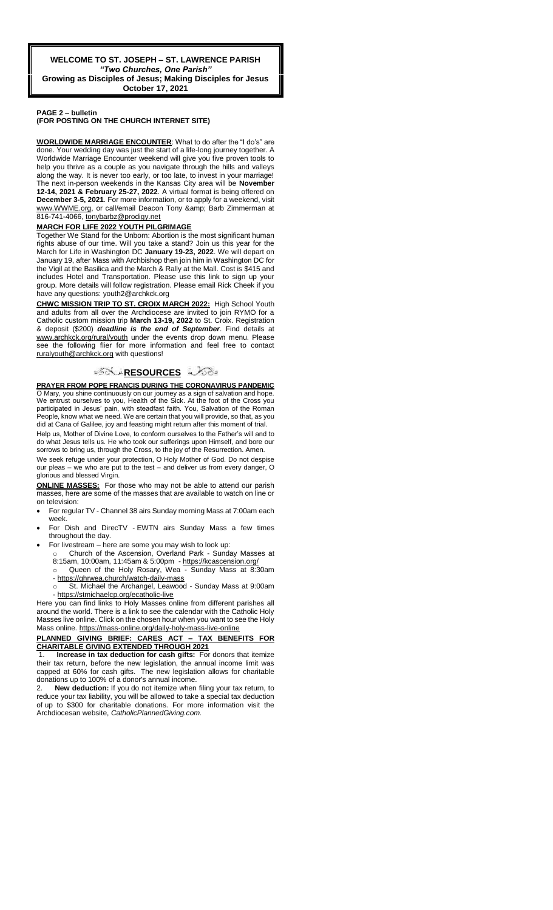#### **PAGE 2 – bulletin (FOR POSTING ON THE CHURCH INTERNET SITE)**

**WORLDWIDE MARRIAGE ENCOUNTER**: What to do after the "I do's" are done. Your wedding day was just the start of a life-long journey together. A Worldwide Marriage Encounter weekend will give you five proven tools to help you thrive as a couple as you navigate through the hills and valleys along the way. It is never too early, or too late, to invest in your marriage! The next in-person weekends in the Kansas City area will be **November 12-14, 2021 & February 25-27, 2022**. A virtual format is being offered on **December 3-5, 2021**. For more information, or to apply for a weekend, visit www.WWME.org, or call/email Deacon Tony & amp; Barb Zimmerman at 816-741-4066, [tonybarbz@prodigy.net](mailto:tonybarbz@prodigy.net)

### **MARCH FOR LIFE 2022 YOUTH PILGRIMAGE**

Together We Stand for the Unborn: Abortion is the most significant human rights abuse of our time. Will you take a stand? Join us this year for the March for Life in Washington DC **January 19-23, 2022**. We will depart on January 19, after Mass with Archbishop then join him in Washington DC for the Vigil at the Basilica and the March & Rally at the Mall. Cost is \$415 and includes Hotel and Transportation. Please use this link to sign up your group. More details will follow registration. Please email Rick Cheek if you have any questions: youth2@archkck.org

**CHWC MISSION TRIP TO ST. CROIX MARCH 2022:** High School Youth and adults from all over the Archdiocese are invited to join RYMO for a Catholic custom mission trip **March 13-19, 2022** to St. Croix. Registration & deposit (\$200) *deadline is the end of September*. Find details at www.archkck.org/rural/youth under the events drop down menu. Please the following flier for more information and feel free to contact ruralyouth@archkck.org with questions!

## ್**ಗ**ೋ RESOURCES ಎಂ

**PRAYER FROM POPE FRANCIS DURING THE CORONAVIRUS PANDEMIC** O Mary, you shine continuously on our journey as a sign of salvation and hope. We entrust ourselves to you, Health of the Sick. At the foot of the Cross you participated in Jesus' pain, with steadfast faith. You, Salvation of the Roman People, know what we need. We are certain that you will provide, so that, as you did at Cana of Galilee, joy and feasting might return after this moment of trial

Help us, Mother of Divine Love, to conform ourselves to the Father's will and to do what Jesus tells us. He who took our sufferings upon Himself, and bore our sorrows to bring us, through the Cross, to the joy of the Resurrection. Amen.

We seek refuge under your protection, O Holy Mother of God. Do not despise our pleas – we who are put to the test – and deliver us from every danger, O glorious and blessed Virgin.

**ONLINE MASSES:** For those who may not be able to attend our parish masses, here are some of the masses that are available to watch on line or on television:

- For regular TV Channel 38 airs Sunday morning Mass at 7:00am each week.
- For Dish and DirecTV EWTN airs Sunday Mass a few times throughout the day.
- For livestream here are some you may wish to look up:
	- o Church of the Ascension, Overland Park Sunday Masses at 8:15am, 10:00am, 11:45am & 5:00pm - <https://kcascension.org/>
	- Queen of the Holy Rosary, Wea Sunday Mass at 8:30am - <https://qhrwea.church/watch-daily-mass>
	- St. Michael the Archangel, Leawood Sunday Mass at 9:00am - <https://stmichaelcp.org/ecatholic-live>

Here you can find links to Holy Masses online from different parishes all around the world. There is a link to see the calendar with the Catholic Holy Masses live online. Click on the chosen hour when you want to see the Holy Mass online[. https://mass-online.org/daily-holy-mass-live-online](https://mass-online.org/daily-holy-mass-live-online)

### **PLANNED GIVING BRIEF: CARES ACT – TAX BENEFITS FOR CHARITABLE GIVING EXTENDED THROUGH 2021**

**Increase in tax deduction for cash gifts:** For donors that itemize their tax return, before the new legislation, the annual income limit was capped at 60% for cash gifts. The new legislation allows for charitable donations up to 100% of a donor's annual income.

2. **New deduction:** If you do not itemize when filing your tax return, to reduce your tax liability, you will be allowed to take a special tax deduction of up to \$300 for charitable donations. For more information visit the Archdiocesan website, *CatholicPlannedGiving.com.*